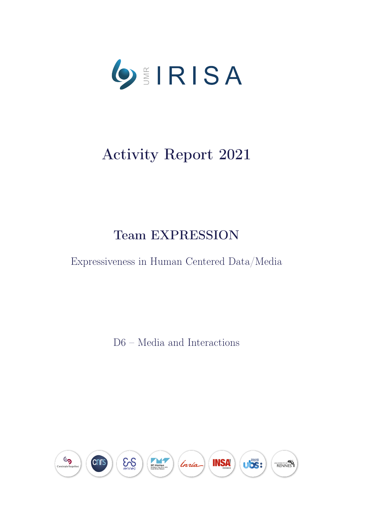

# Activity Report 2021

# Team EXPRESSION

Expressiveness in Human Centered Data/Media

D6 – Media and Interactions

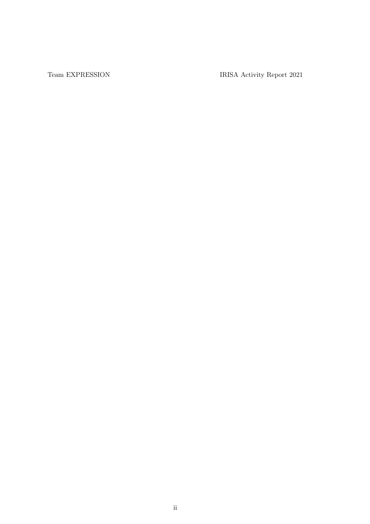Team EXPRESSION IRISA Activity Report 2021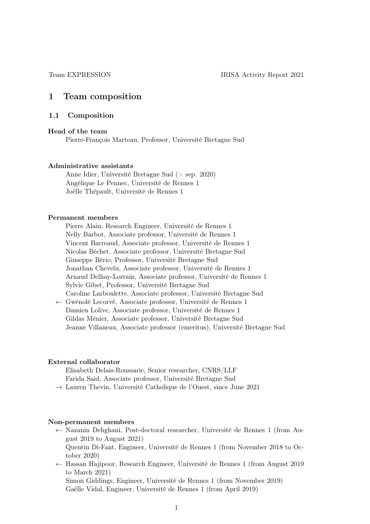#### 1 Team composition

#### 1.1 Composition

#### Head of the team

Pierre-François Marteau, Professor, Université Bretagne Sud

#### Administrative assistants

Anne Idier, Université Bretagne Sud (> sep. 2020) Angélique Le Pennec, Université de Rennes 1 Joëlle Thépault, Université de Rennes 1

#### Permanent members

Pierre Alain, Research Engineer, Université de Rennes 1 Nelly Barbot, Associate professor, Université de Rennes 1 Vincent Barreaud, Associate professor, Université de Rennes 1 Nicolas Béchet, Associate professor, Université Bretagne Sud Giuseppe Bério, Professor, Université Bretagne Sud Jonathan Chevelu, Associate professor, Université de Rennes 1 Arnaud Delhay-Lorrain, Associate professor, Université de Rennes 1 Sylvie Gibet, Professor, Université Bretagne Sud Caroline Larboulette, Associate professor, Université Bretagne Sud

← Gwénolé Lecorvé, Associate professor, Université de Rennes 1 Damien Lolive, Associate professor, Université de Rennes 1 Gildas Ménier, Associate professor, Université Bretagne Sud Jeanne Villaneau, Associate professor (emeritus), Université Bretagne Sud

#### External collaborator

Elisabeth Delais-Roussarie, Senior researcher, CNRS/LLF Farida Said, Associate professor, Université Bretagne Sud

 $\rightarrow$  Lauren Thevin, Université Catholique de l'Ouest, since June 2021

#### Non-permanent members

- ← Nazanin Dehghani, Post-doctoral researcher, Université de Rennes 1 (from August 2019 to August 2021) Quentin Di-Fant, Engineer, Université de Rennes 1 (from November 2018 to October 2020)
- ← Hassan Hajipoor, Research Engineer, Université de Rennes 1 (from August 2019 to March 2021)

Simon Giddings, Engineer, Université de Rennes 1 (from November 2019) Gaëlle Vidal, Engineer, Université de Rennes 1 (from April 2019)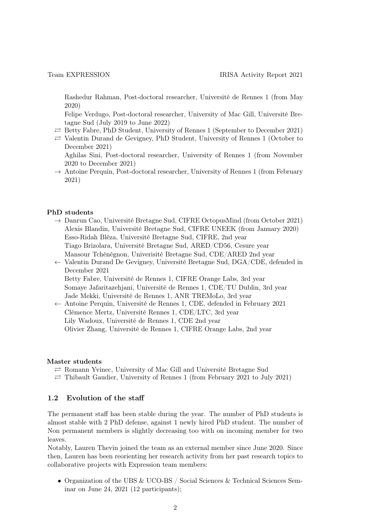Rashedur Rahman, Post-doctoral researcher, Université de Rennes 1 (from May 2020)

Felipe Verdugo, Post-doctoral researcher, University of Mac Gill, Université Bretagne Sud (July 2019 to June 2022)

- $\Rightarrow$  Betty Fabre, PhD Student, University of Rennes 1 (September to December 2021)
- $\rightleftarrows$  Valentin Durand de Gevigney, PhD Student, University of Rennes 1 (October to December 2021)

Aghilas Sini, Post-doctoral researcher, University of Rennes 1 (from November 2020 to December 2021)

 $\rightarrow$  Antoine Perquin, Post-doctoral researcher, University of Rennes 1 (from February 2021)

#### PhD students

- $\rightarrow$  Danrun Cao, Université Bretagne Sud, CIFRE OctopusMind (from October 2021) Alexis Blandin, Université Bretagne Sud, CIFRE UNEEK (from January 2020) Esso-Ridah Bléza, Université Bretagne Sud, CIFRE, 2nd year Tiago Brizolara, Université Bretagne Sud, ARED/CD56, Cesure year Mansour Tchénégnon, Univerisité Bretagne Sud, CDE/ARED 2nd year
- ← Valentin Durand De Gevigney, Université Bretagne Sud, DGA/CDE, defended in December 2021 Betty Fabre, Université de Rennes 1, CIFRE Orange Labs, 3rd year Somaye Jafaritazehjani, Université de Rennes 1, CDE/TU Dublin, 3rd year Jade Mekki, Université de Rennes 1, ANR TREMoLo, 3rd year
- ← Antoine Perquin, Université de Rennes 1, CDE, defended in February 2021 Clémence Mertz, Université Rennes 1, CDE/LTC, 3rd year Lily Wadoux, Université de Rennes 1, CDE 2nd year Olivier Zhang, Université de Rennes 1, CIFRE Orange Labs, 2nd year

#### Master students

- $\rightleftarrows$  Romann Yvinec, University of Mac Gill and Université Bretagne Sud
- $\rightleftharpoons$  Thibault Gaudier, University of Rennes 1 (from February 2021 to July 2021)

#### 1.2 Evolution of the staff

The permanent staff has been stable during the year. The number of PhD students is almost stable with 2 PhD defense, against 1 newly hired PhD student. The number of Non permanent members is slightly decreasing too with on incoming member for two leaves.

Notably, Lauren Thevin joined the team as an external member since June 2020. Since then, Lauren has been reorienting her research activity from her past research topics to collaborative projects with Expression team members:

• Organization of the UBS & UCO-BS / Social Sciences & Technical Sciences Seminar on June 24, 2021 (12 participants);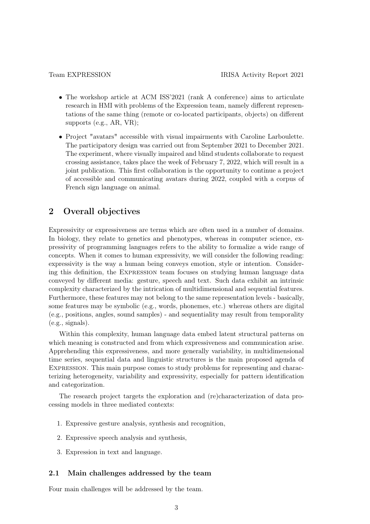- The workshop article at ACM ISS'2021 (rank A conference) aims to articulate research in HMI with problems of the Expression team, namely different representations of the same thing (remote or co-located participants, objects) on different supports (e.g., AR, VR);
- Project "avatars" accessible with visual impairments with Caroline Larboulette. The participatory design was carried out from September 2021 to December 2021. The experiment, where visually impaired and blind students collaborate to request crossing assistance, takes place the week of February 7, 2022, which will result in a joint publication. This first collaboration is the opportunity to continue a project of accessible and communicating avatars during 2022, coupled with a corpus of French sign language on animal.

### 2 Overall objectives

Expressivity or expressiveness are terms which are often used in a number of domains. In biology, they relate to genetics and phenotypes, whereas in computer science, expressivity of programming languages refers to the ability to formalize a wide range of concepts. When it comes to human expressivity, we will consider the following reading: expressivity is the way a human being conveys emotion, style or intention. Considering this definition, the Expression team focuses on studying human language data conveyed by different media: gesture, speech and text. Such data exhibit an intrinsic complexity characterized by the intrication of multidimensional and sequential features. Furthermore, these features may not belong to the same representation levels - basically, some features may be symbolic (e.g., words, phonemes, etc.) whereas others are digital (e.g., positions, angles, sound samples) - and sequentiality may result from temporality (e.g., signals).

Within this complexity, human language data embed latent structural patterns on which meaning is constructed and from which expressiveness and communication arise. Apprehending this expressiveness, and more generally variability, in multidimensional time series, sequential data and linguistic structures is the main proposed agenda of Expression. This main purpose comes to study problems for representing and characterizing heterogeneity, variability and expressivity, especially for pattern identification and categorization.

The research project targets the exploration and (re)characterization of data processing models in three mediated contexts:

- 1. Expressive gesture analysis, synthesis and recognition,
- 2. Expressive speech analysis and synthesis,
- 3. Expression in text and language.

#### 2.1 Main challenges addressed by the team

Four main challenges will be addressed by the team.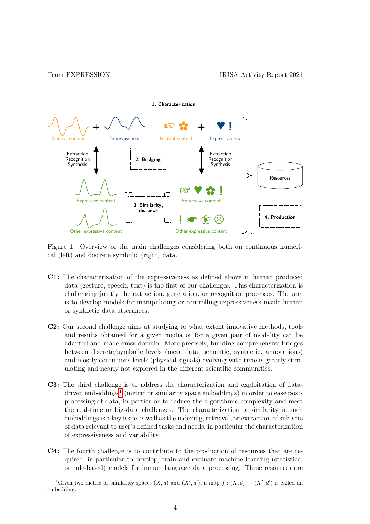

Figure 1: Overview of the main challenges considering both on continuous numerical (left) and discrete symbolic (right) data.

- C1: The characterization of the expressiveness as defined above in human produced data (gesture, speech, text) is the first of our challenges. This characterization is challenging jointly the extraction, generation, or recognition processes. The aim is to develop models for manipulating or controlling expressiveness inside human or synthetic data utterances.
- C2: Our second challenge aims at studying to what extent innovative methods, tools and results obtained for a given media or for a given pair of modality can be adapted and made cross-domain. More precisely, building comprehensive bridges between discrete/symbolic levels (meta data, semantic, syntactic, annotations) and mostly continuous levels (physical signals) evolving with time is greatly stimulating and nearly not explored in the different scientific communities.
- C3: The third challenge is to address the characterization and exploitation of data-driven embeddings<sup>[1](#page-5-0)</sup> (metric or similarity space embeddings) in order to ease postprocessing of data, in particular to reduce the algorithmic complexity and meet the real-time or big-data challenges. The characterization of similarity in such embeddings is a key issue as well as the indexing, retrieval, or extraction of sub-sets of data relevant to user's defined tasks and needs, in particular the characterization of expressiveness and variability.
- C4: The fourth challenge is to contribute to the production of resources that are required, in particular to develop, train and evaluate machine learning (statistical or rule-based) models for human language data processing. These resources are

<span id="page-5-0"></span><sup>&</sup>lt;sup>1</sup>Given two metric or similarity spaces  $(X, d)$  and  $(X', d')$ , a map  $f : (X, d) \to (X', d')$  is called an embedding.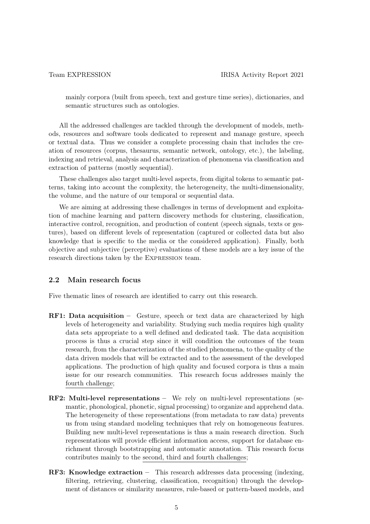mainly corpora (built from speech, text and gesture time series), dictionaries, and semantic structures such as ontologies.

All the addressed challenges are tackled through the development of models, methods, resources and software tools dedicated to represent and manage gesture, speech or textual data. Thus we consider a complete processing chain that includes the creation of resources (corpus, thesaurus, semantic network, ontology, etc.), the labeling, indexing and retrieval, analysis and characterization of phenomena via classification and extraction of patterns (mostly sequential).

These challenges also target multi-level aspects, from digital tokens to semantic patterns, taking into account the complexity, the heterogeneity, the multi-dimensionality, the volume, and the nature of our temporal or sequential data.

We are aiming at addressing these challenges in terms of development and exploitation of machine learning and pattern discovery methods for clustering, classification, interactive control, recognition, and production of content (speech signals, texts or gestures), based on different levels of representation (captured or collected data but also knowledge that is specific to the media or the considered application). Finally, both objective and subjective (perceptive) evaluations of these models are a key issue of the research directions taken by the Expression team.

#### 2.2 Main research focus

Five thematic lines of research are identified to carry out this research.

- RF1: Data acquisition Gesture, speech or text data are characterized by high levels of heterogeneity and variability. Studying such media requires high quality data sets appropriate to a well defined and dedicated task. The data acquisition process is thus a crucial step since it will condition the outcomes of the team research, from the characterization of the studied phenomena, to the quality of the data driven models that will be extracted and to the assessment of the developed applications. The production of high quality and focused corpora is thus a main issue for our research communities. This research focus addresses mainly the fourth challenge;
- RF2: Multi-level representations We rely on multi-level representations (semantic, phonological, phonetic, signal processing) to organize and apprehend data. The heterogeneity of these representations (from metadata to raw data) prevents us from using standard modeling techniques that rely on homogeneous features. Building new multi-level representations is thus a main research direction. Such representations will provide efficient information access, support for database enrichment through bootstrapping and automatic annotation. This research focus contributes mainly to the second, third and fourth challenges;
- RF3: Knowledge extraction This research addresses data processing (indexing, filtering, retrieving, clustering, classification, recognition) through the development of distances or similarity measures, rule-based or pattern-based models, and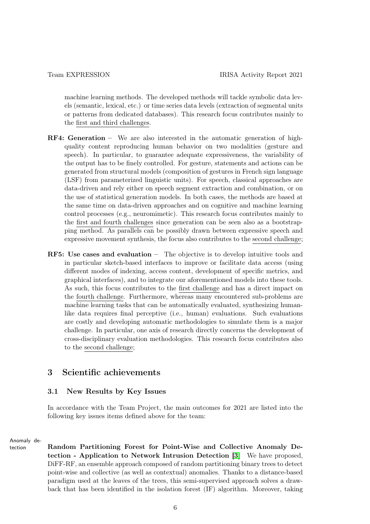machine learning methods. The developed methods will tackle symbolic data levels (semantic, lexical, etc.) or time series data levels (extraction of segmental units or patterns from dedicated databases). This research focus contributes mainly to the first and third challenges.

- RF4: Generation We are also interested in the automatic generation of highquality content reproducing human behavior on two modalities (gesture and speech). In particular, to guarantee adequate expressiveness, the variability of the output has to be finely controlled. For gesture, statements and actions can be generated from structural models (composition of gestures in French sign language (LSF) from parameterized linguistic units). For speech, classical approaches are data-driven and rely either on speech segment extraction and combination, or on the use of statistical generation models. In both cases, the methods are based at the same time on data-driven approaches and on cognitive and machine learning control processes (e.g., neuromimetic). This research focus contributes mainly to the first and fourth challenges since generation can be seen also as a bootstrapping method. As parallels can be possibly drawn between expressive speech and expressive movement synthesis, the focus also contributes to the second challenge;
- RF5: Use cases and evaluation The objective is to develop intuitive tools and in particular sketch-based interfaces to improve or facilitate data access (using different modes of indexing, access content, development of specific metrics, and graphical interfaces), and to integrate our aforementioned models into these tools. As such, this focus contributes to the first challenge and has a direct impact on the fourth challenge. Furthermore, whereas many encountered sub-problems are machine learning tasks that can be automatically evaluated, synthesizing humanlike data requires final perceptive (i.e., human) evaluations. Such evaluations are costly and developing automatic methodologies to simulate them is a major challenge. In particular, one axis of research directly concerns the development of cross-disciplinary evaluation methodologies. This research focus contributes also to the second challenge;

### 3 Scientific achievements

#### 3.1 New Results by Key Issues

In accordance with the Team Project, the main outcomes for 2021 are listed into the following key issues items defined above for the team:

Anomaly de-

tection Random Partitioning Forest for Point-Wise and Collective Anomaly Detection - Application to Network Intrusion Detection [\[3\]](#page-23-0) We have proposed, DiFF-RF, an ensemble approach composed of random partitioning binary trees to detect point-wise and collective (as well as contextual) anomalies. Thanks to a distance-based paradigm used at the leaves of the trees, this semi-supervised approach solves a drawback that has been identified in the isolation forest (IF) algorithm. Moreover, taking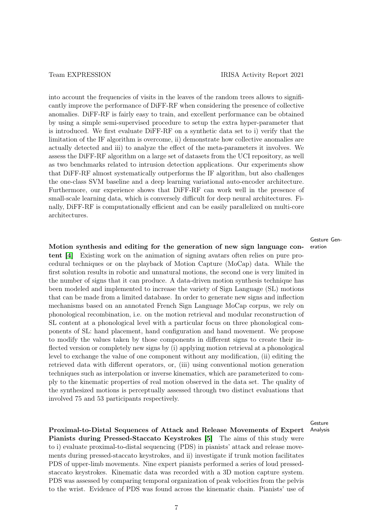into account the frequencies of visits in the leaves of the random trees allows to significantly improve the performance of DiFF-RF when considering the presence of collective anomalies. DiFF-RF is fairly easy to train, and excellent performance can be obtained by using a simple semi-supervised procedure to setup the extra hyper-parameter that is introduced. We first evaluate DiFF-RF on a synthetic data set to i) verify that the limitation of the IF algorithm is overcome, ii) demonstrate how collective anomalies are actually detected and iii) to analyze the effect of the meta-parameters it involves. We assess the DiFF-RF algorithm on a large set of datasets from the UCI repository, as well as two benchmarks related to intrusion detection applications. Our experiments show that DiFF-RF almost systematically outperforms the IF algorithm, but also challenges the one-class SVM baseline and a deep learning variational auto-encoder architecture. Furthermore, our experience shows that DiFF-RF can work well in the presence of small-scale learning data, which is conversely difficult for deep neural architectures. Finally, DiFF-RF is computationally efficient and can be easily parallelized on multi-core architectures.

Motion synthesis and editing for the generation of new sign language con- eration tent [\[4\]](#page-23-1) Existing work on the animation of signing avatars often relies on pure procedural techniques or on the playback of Motion Capture (MoCap) data. While the first solution results in robotic and unnatural motions, the second one is very limited in the number of signs that it can produce. A data-driven motion synthesis technique has been modeled and implemented to increase the variety of Sign Language (SL) motions that can be made from a limited database. In order to generate new signs and inflection mechanisms based on an annotated French Sign Language MoCap corpus, we rely on phonological recombination, i.e. on the motion retrieval and modular reconstruction of SL content at a phonological level with a particular focus on three phonological components of SL: hand placement, hand configuration and hand movement. We propose to modify the values taken by those components in different signs to create their inflected version or completely new signs by (i) applying motion retrieval at a phonological level to exchange the value of one component without any modification, (ii) editing the retrieved data with different operators, or, (iii) using conventional motion generation techniques such as interpolation or inverse kinematics, which are parameterized to comply to the kinematic properties of real motion observed in the data set. The quality of the synthesized motions is perceptually assessed through two distinct evaluations that involved 75 and 53 participants respectively.

Gesture Gen-

# Gesture

Proximal-to-Distal Sequences of Attack and Release Movements of Expert Analysis Pianists during Pressed-Staccato Keystrokes [\[5\]](#page-23-2) The aims of this study were to i) evaluate proximal-to-distal sequencing (PDS) in pianists' attack and release movements during pressed-staccato keystrokes, and ii) investigate if trunk motion facilitates PDS of upper-limb movements. Nine expert pianists performed a series of loud pressedstaccato keystrokes. Kinematic data was recorded with a 3D motion capture system. PDS was assessed by comparing temporal organization of peak velocities from the pelvis to the wrist. Evidence of PDS was found across the kinematic chain. Pianists' use of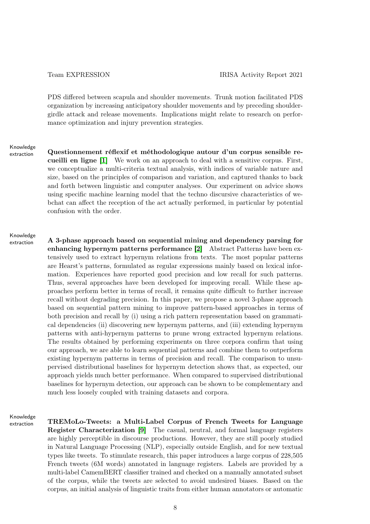PDS differed between scapula and shoulder movements. Trunk motion facilitated PDS organization by increasing anticipatory shoulder movements and by preceding shouldergirdle attack and release movements. Implications might relate to research on performance optimization and injury prevention strategies.

# Knowledge

extraction Questionnement réflexif et méthodologique autour d'un corpus sensible recueilli en ligne [\[1\]](#page-22-0) We work on an approach to deal with a sensitive corpus. First, we conceptualize a multi-criteria textual analysis, with indices of variable nature and size, based on the principles of comparison and variation, and captured thanks to back and forth between linguistic and computer analyses. Our experiment on advice shows using specific machine learning model that the techno discursive characteristics of webchat can affect the reception of the act actually performed, in particular by potential confusion with the order.

## Knowledge

extraction A 3-phase approach based on sequential mining and dependency parsing for enhancing hypernym patterns performance [\[2\]](#page-23-3) Abstract Patterns have been extensively used to extract hypernym relations from texts. The most popular patterns are Hearst's patterns, formulated as regular expressions mainly based on lexical information. Experiences have reported good precision and low recall for such patterns. Thus, several approaches have been developed for improving recall. While these approaches perform better in terms of recall, it remains quite difficult to further increase recall without degrading precision. In this paper, we propose a novel 3-phase approach based on sequential pattern mining to improve pattern-based approaches in terms of both precision and recall by (i) using a rich pattern representation based on grammatical dependencies (ii) discovering new hypernym patterns, and (iii) extending hypernym patterns with anti-hypernym patterns to prune wrong extracted hypernym relations. The results obtained by performing experiments on three corpora confirm that using our approach, we are able to learn sequential patterns and combine them to outperform existing hypernym patterns in terms of precision and recall. The comparison to unsupervised distributional baselines for hypernym detection shows that, as expected, our approach yields much better performance. When compared to supervised distributional baselines for hypernym detection, our approach can be shown to be complementary and much less loosely coupled with training datasets and corpora.

Knowledge

extraction TREMoLo-Tweets: a Multi-Label Corpus of French Tweets for Language Register Characterization [\[9\]](#page-23-4) The casual, neutral, and formal language registers are highly perceptible in discourse productions. However, they are still poorly studied in Natural Language Processing (NLP), especially outside English, and for new textual types like tweets. To stimulate research, this paper introduces a large corpus of 228,505 French tweets (6M words) annotated in language registers. Labels are provided by a multi-label CamemBERT classifier trained and checked on a manually annotated subset of the corpus, while the tweets are selected to avoid undesired biases. Based on the corpus, an initial analysis of linguistic traits from either human annotators or automatic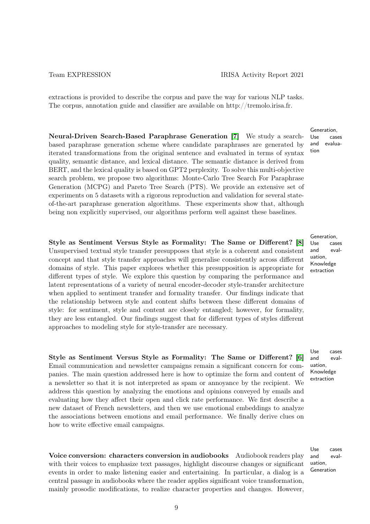extractions is provided to describe the corpus and pave the way for various NLP tasks. The corpus, annotation guide and classifier are available on http://tremolo.irisa.fr.

Neural-Driven Search-Based Paraphrase Generation [\[7\]](#page-23-5) We study a searchbased paraphrase generation scheme where candidate paraphrases are generated by iterated transformations from the original sentence and evaluated in terms of syntax quality, semantic distance, and lexical distance. The semantic distance is derived from BERT, and the lexical quality is based on GPT2 perplexity. To solve this multi-objective search problem, we propose two algorithms: Monte-Carlo Tree Search For Paraphrase Generation (MCPG) and Pareto Tree Search (PTS). We provide an extensive set of experiments on 5 datasets with a rigorous reproduction and validation for several stateof-the-art paraphrase generation algorithms. These experiments show that, although being non explicitly supervised, our algorithms perform well against these baselines.

Style as Sentiment Versus Style as Formality: The Same or Different? [\[8\]](#page-23-6) Unsupervised textual style transfer presupposes that style is a coherent and consistent concept and that style transfer approaches will generalise consistently across different domains of style. This paper explores whether this presupposition is appropriate for different types of style. We explore this question by comparing the performance and latent representations of a variety of neural encoder-decoder style-transfer architecture when applied to sentiment transfer and formality transfer. Our findings indicate that the relationship between style and content shifts between these different domains of style: for sentiment, style and content are closely entangled; however, for formality, they are less entangled. Our findings suggest that for different types of styles different approaches to modeling style for style-transfer are necessary.

Style as Sentiment Versus Style as Formality: The Same or Different? [\[6\]](#page-23-7) Email communication and newsletter campaigns remain a significant concern for companies. The main question addressed here is how to optimize the form and content of a newsletter so that it is not interpreted as spam or annoyance by the recipient. We address this question by analyzing the emotions and opinions conveyed by emails and evaluating how they affect their open and click rate performance. We first describe a new dataset of French newsletters, and then we use emotional embeddings to analyze the associations between emotions and email performance. We finally derive clues on how to write effective email campaigns.

Voice conversion: characters conversion in audiobooks Audiobook readers play with their voices to emphasize text passages, highlight discourse changes or significant events in order to make listening easier and entertaining. In particular, a dialog is a central passage in audiobooks where the reader applies significant voice transformation, mainly prosodic modifications, to realize character properties and changes. However,

Generation, Use cases and evaluation

Generation, Use cases and evaluation, Knowledge extraction

Use cases and evaluation, Knowledge extraction

Use cases and evaluation, Generation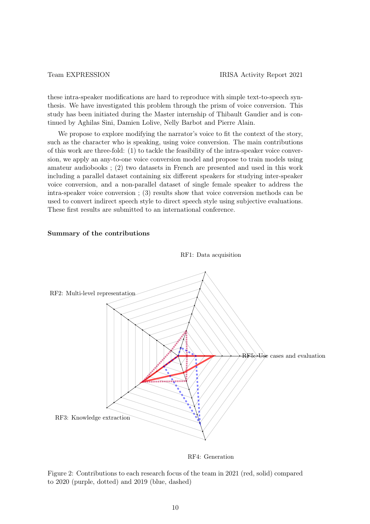these intra-speaker modifications are hard to reproduce with simple text-to-speech synthesis. We have investigated this problem through the prism of voice conversion. This study has been initiated during the Master internship of Thibault Gaudier and is continued by Aghilas Sini, Damien Lolive, Nelly Barbot and Pierre Alain.

We propose to explore modifying the narrator's voice to fit the context of the story, such as the character who is speaking, using voice conversion. The main contributions of this work are three-fold: (1) to tackle the feasibility of the intra-speaker voice conversion, we apply an any-to-one voice conversion model and propose to train models using amateur audiobooks ; (2) two datasets in French are presented and used in this work including a parallel dataset containing six different speakers for studying inter-speaker voice conversion, and a non-parallel dataset of single female speaker to address the intra-speaker voice conversion ; (3) results show that voice conversion methods can be used to convert indirect speech style to direct speech style using subjective evaluations. These first results are submitted to an international conference.

#### Summary of the contributions



RF1: Data acquisition

RF4: Generation

Figure 2: Contributions to each research focus of the team in 2021 (red, solid) compared to 2020 (purple, dotted) and 2019 (blue, dashed)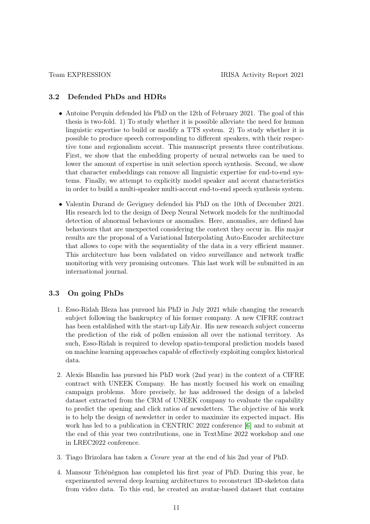#### 3.2 Defended PhDs and HDRs

- Antoine Perquin defended his PhD on the 12th of February 2021. The goal of this thesis is two-fold. 1) To study whether it is possible alleviate the need for human linguistic expertise to build or modify a TTS system. 2) To study whether it is possible to produce speech corresponding to different speakers, with their respective tone and regionalism accent. This manuscript presents three contributions. First, we show that the embedding property of neural networks can be used to lower the amount of expertise in unit selection speech synthesis. Second, we show that character embeddings can remove all linguistic expertise for end-to-end systems. Finally, we attempt to explicitly model speaker and accent characteristics in order to build a multi-speaker multi-accent end-to-end speech synthesis system.
- Valentin Durand de Gevigney defended his PhD on the 10th of December 2021. His research led to the design of Deep Neural Network models for the multimodal detection of abnormal behaviours or anomalies. Here, anomalies, are defined has behaviours that are unexpected considering the context they occur in. His major results are the proposal of a Variational Interpolating Auto-Encoder architecture that allows to cope with the sequentiality of the data in a very efficient manner. This architecture has been validated on video surveillance and network traffic monitoring with very promising outcomes. This last work will be submitted in an international journal.

#### 3.3 On going PhDs

- 1. Esso-Ridah Bleza has pursued his PhD in July 2021 while changing the research subject following the bankruptcy of his former company. A new CIFRE contract has been established with the start-up LifyAir. His new research subject concerns the prediction of the risk of pollen emission all over the national territory. As such, Esso-Ridah is required to develop spatio-temporal prediction models based on machine learning approaches capable of effectively exploiting complex historical data.
- 2. Alexis Blandin has pursued his PhD work (2nd year) in the context of a CIFRE contract with UNEEK Company. He has mostly focused his work on emailing campaign problems. More precisely, he has addressed the design of a labeled dataset extracted from the CRM of UNEEK company to evaluate the capability to predict the opening and click ratios of newsletters. The objective of his work is to help the design of newsletter in order to maximize its expected impact. His work has led to a publication in CENTRIC 2022 conference [\[6\]](#page-23-7) and to submit at the end of this year two contributions, one in TextMine 2022 workshop and one in LREC2022 conference.
- 3. Tiago Brizolara has taken a Cesure year at the end of his 2nd year of PhD.
- 4. Mansour Tchénégnon has completed his first year of PhD. During this year, he experimented several deep learning architectures to reconstruct 3D-skeleton data from video data. To this end, he created an avatar-based dataset that contains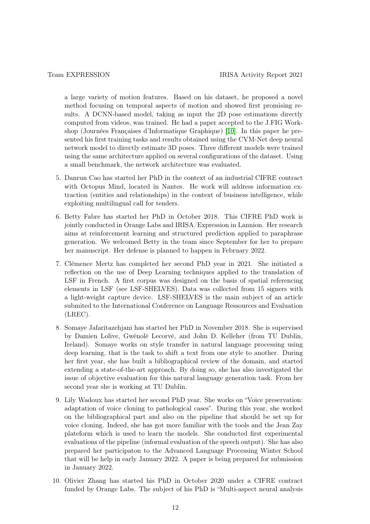a large variety of motion features. Based on his dataset, he proposed a novel method focusing on temporal aspects of motion and showed first promising results. A DCNN-based model, taking as input the 2D pose estimations directly computed from videos, was trained. He had a paper accepted to the J.FIG Workshop (Journées Françaises d'Informatique Graphique) [\[10\]](#page-23-8). In this paper he presented his first training tasks and results obtained using the CVM-Net deep neural network model to directly estimate 3D poses. Three different models were trained using the same architecture applied on several configurations of the dataset. Using a small benchmark, the network architecture was evaluated.

- 5. Danrun Cao has started her PhD in the context of an industrial CIFRE contract with Octopus Mind, located in Nantes. He work will address information extraction (entities and relationships) in the context of business intelligence, while exploiting multilingual call for tenders.
- 6. Betty Fabre has started her PhD in October 2018. This CIFRE PhD work is jointly conducted in Orange Labs and IRISA/Expression in Lannion. Her research aims at reinforcement learning and structured prediction applied to paraphrase generation. We welcomed Betty in the team since September for her to prepare her manuscript. Her defense is planned to happen in February 2022.
- 7. Clémence Mertz has completed her second PhD year in 2021. She initiated a reflection on the use of Deep Learning techniques applied to the translation of LSF in French. A first corpus was designed on the basis of spatial referencing elements in LSF (see LSF-SHELVES). Data was collected from 15 signers with a light-weight capture device. LSF-SHELVES is the main subject of an article submited to the International Conference on Language Ressources and Evaluation (LREC).
- 8. Somaye Jafaritazehjani has started her PhD in November 2018. She is supervised by Damien Lolive, Gwénolé Lecorvé, and John D. Kelleher (from TU Dublin, Ireland). Somaye works on style transfer in natural language processing using deep learning, that is the task to shift a text from one style to another. During her first year, she has built a bibliographical review of the domain, and started extending a state-of-the-art approach. By doing so, she has also investigated the issue of objective evaluation for this natural language generation task. From her second year she is working at TU Dublin.
- 9. Lily Wadoux has started her second PhD year. She works on "Voice preservation: adaptation of voice cloning to pathological cases". During this year, she worked on the bibliographical part and also on the pipeline that should be set up for voice cloning. Indeed, she has got more familiar with the tools and the Jean Zay plateform which is used to learn the models. She conducted first experimental evaluations of the pipeline (informal evaluation of the speech output). She has also prepared her participaton to the Advanced Language Processing Winter School that will be help in early January 2022. A paper is being prepared for submission in January 2022.
- 10. Olivier Zhang has started his PhD in October 2020 under a CIFRE contract funded by Orange Labs. The subject of his PhD is "Multi-aspect neural analysis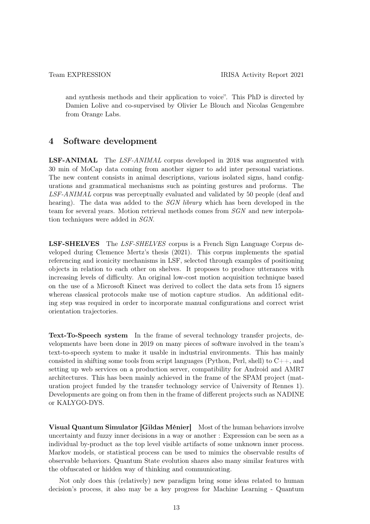and synthesis methods and their application to voice". This PhD is directed by Damien Lolive and co-supervised by Olivier Le Blouch and Nicolas Gengembre from Orange Labs.

### 4 Software development

LSF-ANIMAL The LSF-ANIMAL corpus developed in 2018 was augmented with 30 min of MoCap data coming from another signer to add inter personal variations. The new content consists in animal descriptions, various isolated signs, hand configurations and grammatical mechanisms such as pointing gestures and proforms. The LSF-ANIMAL corpus was perceptually evaluated and validated by 50 people (deaf and hearing). The data was added to the *SGN library* which has been developed in the team for several years. Motion retrieval methods comes from SGN and new interpolation techniques were added in SGN.

LSF-SHELVES The LSF-SHELVES corpus is a French Sign Language Corpus developed during Clemence Mertz's thesis (2021). This corpus implements the spatial referencing and iconicity mechanisms in LSF, selected through examples of positioning objects in relation to each other on shelves. It proposes to produce utterances with increasing levels of difficulty. An original low-cost motion acquisition technique based on the use of a Microsoft Kinect was derived to collect the data sets from 15 signers whereas classical protocols make use of motion capture studios. An additional editing step was required in order to incorporate manual configurations and correct wrist orientation trajectories.

Text-To-Speech system In the frame of several technology transfer projects, developments have been done in 2019 on many pieces of software involved in the team's text-to-speech system to make it usable in industrial environments. This has mainly consisted in shifting some tools from script languages (Python, Perl, shell) to  $C_{++}$ , and setting up web services on a production server, compatibility for Android and AMR7 architectures. This has been mainly achieved in the frame of the SPAM project (maturation project funded by the transfer technology service of University of Rennes 1). Developments are going on from then in the frame of different projects such as NADINE or KALYGO-DYS.

Visual Quantum Simulator [Gildas Ménier] Most of the human behaviors involve uncertainty and fuzzy inner decisions in a way or another : Expression can be seen as a individual by-product as the top level visible artifacts of some unknown inner process. Markov models, or statistical process can be used to mimics the observable results of observable behaviors. Quantum State evolution shares also many similar features with the obfuscated or hidden way of thinking and communicating.

Not only does this (relatively) new paradigm bring some ideas related to human decision's process, it also may be a key progress for Machine Learning - Quantum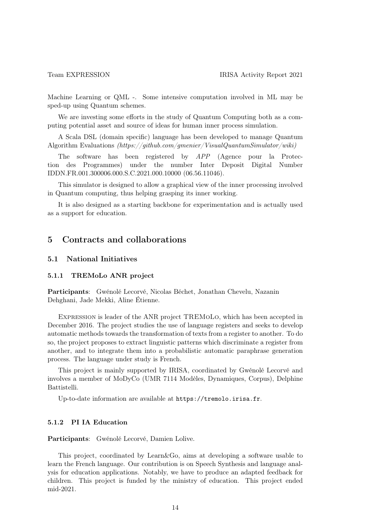Machine Learning or QML -. Some intensive computation involved in ML may be sped-up using Quantum schemes.

We are investing some efforts in the study of Quantum Computing both as a computing potential asset and source of ideas for human inner process simulation.

A Scala DSL (domain specific) language has been developed to manage Quantum Algorithm Evaluations (https://github.com/gmenier/VisualQuantumSimulator/wiki)

The software has been registered by APP (Agence pour la Protection des Programmes) under the number Inter Deposit Digital Number IDDN.FR.001.300006.000.S.C.2021.000.10000 (06.56.11046).

This simulator is designed to allow a graphical view of the inner processing involved in Quantum computing, thus helping grasping its inner working.

It is also designed as a starting backbone for experimentation and is actually used as a support for education.

### 5 Contracts and collaborations

#### 5.1 National Initiatives

#### 5.1.1 TREMoLo ANR project

Participants: Gwénolé Lecorvé, Nicolas Béchet, Jonathan Chevelu, Nazanin Dehghani, Jade Mekki, Aline Étienne.

Expression is leader of the ANR project TREMoLo, which has been accepted in December 2016. The project studies the use of language registers and seeks to develop automatic methods towards the transformation of texts from a register to another. To do so, the project proposes to extract linguistic patterns which discriminate a register from another, and to integrate them into a probabilistic automatic paraphrase generation process. The language under study is French.

This project is mainly supported by IRISA, coordinated by Gwénolé Lecorvé and involves a member of MoDyCo (UMR 7114 Modèles, Dynamiques, Corpus), Delphine Battistelli.

Up-to-date information are available at https://tremolo.irisa.fr.

#### 5.1.2 PI IA Education

Participants: Gwénolé Lecorvé, Damien Lolive.

This project, coordinated by Learn&Go, aims at developing a software usable to learn the French language. Our contribution is on Speech Synthesis and language analysis for education applications. Notably, we have to produce an adapted feedback for children. This project is funded by the ministry of education. This project ended mid-2021.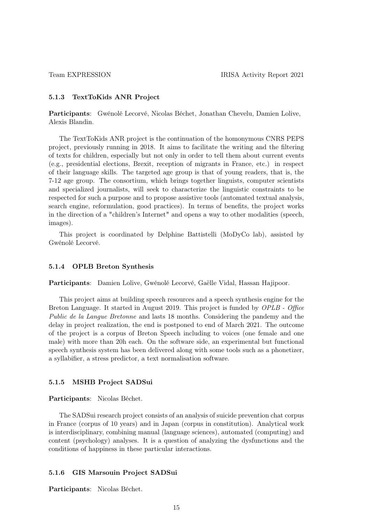#### 5.1.3 TextToKids ANR Project

Participants: Gwénolé Lecorvé, Nicolas Béchet, Jonathan Chevelu, Damien Lolive, Alexis Blandin.

The TextToKids ANR project is the continuation of the homonymous CNRS PEPS project, previously running in 2018. It aims to facilitate the writing and the filtering of texts for children, especially but not only in order to tell them about current events (e.g., presidential elections, Brexit, reception of migrants in France, etc.) in respect of their language skills. The targeted age group is that of young readers, that is, the 7-12 age group. The consortium, which brings together linguists, computer scientists and specialized journalists, will seek to characterize the linguistic constraints to be respected for such a purpose and to propose assistive tools (automated textual analysis, search engine, reformulation, good practices). In terms of benefits, the project works in the direction of a "children's Internet" and opens a way to other modalities (speech, images).

This project is coordinated by Delphine Battistelli (MoDyCo lab), assisted by Gwénolé Lecorvé.

#### 5.1.4 OPLB Breton Synthesis

Participants: Damien Lolive, Gwénolé Lecorvé, Gaëlle Vidal, Hassan Hajipoor.

This project aims at building speech resources and a speech synthesis engine for the Breton Language. It started in August 2019. This project is funded by OPLB - Office Public de la Langue Bretonne and lasts 18 months. Considering the pandemy and the delay in project realization, the end is postponed to end of March 2021. The outcome of the project is a corpus of Breton Speech including to voices (one female and one male) with more than 20h each. On the software side, an experimental but functional speech synthesis system has been delivered along with some tools such as a phonetizer, a syllabifier, a stress predictor, a text normalisation software.

#### 5.1.5 MSHB Project SADSui

#### Participants: Nicolas Béchet.

The SADSui research project consists of an analysis of suicide prevention chat corpus in France (corpus of 10 years) and in Japan (corpus in constitution). Analytical work is interdisciplinary, combining manual (language sciences), automated (computing) and content (psychology) analyses. It is a question of analyzing the dysfunctions and the conditions of happiness in these particular interactions.

#### 5.1.6 GIS Marsouin Project SADSui

Participants: Nicolas Béchet.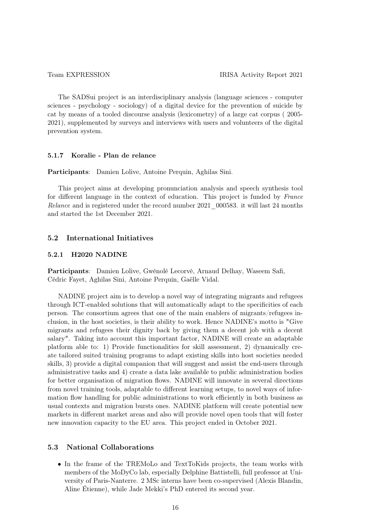The SADSui project is an interdisciplinary analysis (language sciences - computer sciences - psychology - sociology) of a digital device for the prevention of suicide by cat by means of a tooled discourse analysis (lexicometry) of a large cat corpus ( 2005- 2021), supplemented by surveys and interviews with users and volunteers of the digital prevention system.

#### 5.1.7 Koralie - Plan de relance

Participants: Damien Lolive, Antoine Perquin, Aghilas Sini.

This project aims at developing pronunciation analysis and speech synthesis tool for different language in the context of education. This project is funded by France Relance and is registered under the record number 2021 000583. it will last 24 months and started the 1st December 2021.

#### 5.2 International Initiatives

#### 5.2.1 H2020 NADINE

Participants: Damien Lolive, Gwénolé Lecorvé, Arnaud Delhay, Waseem Safi, Cédric Fayet, Aghilas Sini, Antoine Perquin, Gaëlle Vidal.

NADINE project aim is to develop a novel way of integrating migrants and refugees through ICT-enabled solutions that will automatically adapt to the specificities of each person. The consortium agrees that one of the main enablers of migrants/refugees inclusion, in the host societies, is their ability to work. Hence NADINE's motto is "Give migrants and refugees their dignity back by giving them a decent job with a decent salary". Taking into account this important factor, NADINE will create an adaptable platform able to: 1) Provide functionalities for skill assessment, 2) dynamically create tailored suited training programs to adapt existing skills into host societies needed skills, 3) provide a digital companion that will suggest and assist the end-users through administrative tasks and 4) create a data lake available to public administration bodies for better organisation of migration flows. NADINE will innovate in several directions from novel training tools, adaptable to different learning setups, to novel ways of information flow handling for public administrations to work efficiently in both business as usual contexts and migration bursts ones. NADINE platform will create potential new markets in different market areas and also will provide novel open tools that will foster new innovation capacity to the EU area. This project ended in October 2021.

#### 5.3 National Collaborations

• In the frame of the TREMoLo and TextToKids projects, the team works with members of the MoDyCo lab, especially Delphine Battistelli, full professor at University of Paris-Nanterre. 2 MSc interns have been co-supervised (Alexis Blandin, Aline Étienne), while Jade Mekki's PhD entered its second year.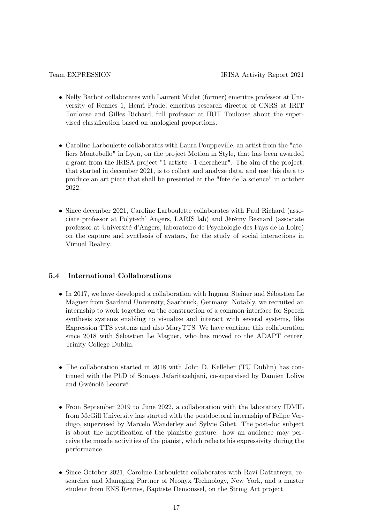- Nelly Barbot collaborates with Laurent Miclet (former) emeritus professor at University of Rennes 1, Henri Prade, emeritus research director of CNRS at IRIT Toulouse and Gilles Richard, full professor at IRIT Toulouse about the supervised classification based on analogical proportions.
- Caroline Larboulette collaborates with Laura Pouppeville, an artist from the "ateliers Montebello" in Lyon, on the project Motion in Style, that has been awarded a grant from the IRISA project "1 artiste - 1 chercheur". The aim of the project, that started in december 2021, is to collect and analyse data, and use this data to produce an art piece that shall be presented at the "fete de la science" in october 2022.
- Since december 2021, Caroline Larboulette collaborates with Paul Richard (associate professor at Polytech' Angers, LARIS lab) and Jérémy Besnard (associate professor at Université d'Angers, laboratoire de Psychologie des Pays de la Loire) on the capture and synthesis of avatars, for the study of social interactions in Virtual Reality.

### 5.4 International Collaborations

- In 2017, we have developed a collaboration with Ingmar Steiner and Sébastien Le Maguer from Saarland University, Saarbruck, Germany. Notably, we recruited an internship to work together on the construction of a common interface for Speech synthesis systems enabling to visualize and interact with several systems, like Expression TTS systems and also MaryTTS. We have continue this collaboration since 2018 with Sébastien Le Maguer, who has moved to the ADAPT center, Trinity College Dublin.
- The collaboration started in 2018 with John D. Kelleher (TU Dublin) has continued with the PhD of Somaye Jafaritazehjani, co-supervised by Damien Lolive and Gwénolé Lecorvé.
- From September 2019 to June 2022, a collaboration with the laboratory IDMIL from McGill University has started with the postdoctoral internship of Felipe Verdugo, supervised by Marcelo Wanderley and Sylvie Gibet. The post-doc subject is about the haptification of the pianistic gesture: how an audience may perceive the muscle activities of the pianist, which reflects his expressivity during the performance.
- Since October 2021, Caroline Larboulette collaborates with Ravi Dattatreya, researcher and Managing Partner of Neonyx Technology, New York, and a master student from ENS Rennes, Baptiste Demoussel, on the String Art project.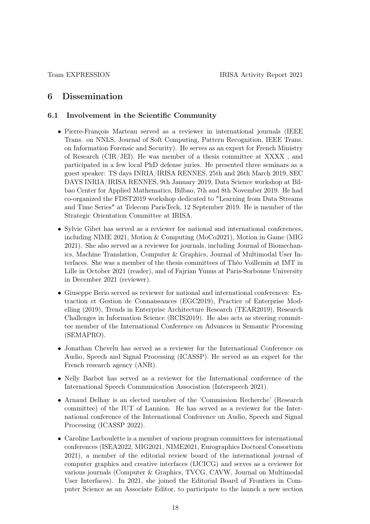### 6 Dissemination

#### 6.1 Involvement in the Scientific Community

- Pierre-François Marteau served as a reviewer in international journals (IEEE Trans. on NNLS, Journal of Soft Computing, Pattern Recognition, IEEE Trans. on Information Forensic and Security). He serves as an expert for French Ministry of Research (CIR/JEI). He was member of a thesis committee at XXXX , and participated in a few local PhD defense juries. He presented three seminars as a guest speaker: TS days INRIA/IRISA RENNES, 25th and 26th March 2019, SEC DAYS INRIA/IRISA RENNES, 9th January 2019, Data Science workshop at Bilbao Center for Applied Mathematics, Bilbao, 7th and 8th November 2019. He had co-organized the FDST2019 workshop dedicated to "Learning from Data Streams and Time Series" at Telecom ParisTech, 12 September 2019. He is member of the Strategic Orientation Committee at IRISA.
- Sylvie Gibet has served as a reviewer for national and international conferences, including NIME 2021, Motion & Computing (MoCo2021), Motion in Game (MIG 2021). She also served as a reviewer for journals, including Journal of Biomechanics, Machine Translation, Computer & Graphics, Journal of Multimodal User Interfaces. She was a member of the thesis committees of Théo Voillemin at IMT in Lille in October 2021 (reader), and of Fajrian Yunus at Paris-Sorbonne University in December 2021 (reviewer).
- Giuseppe Berio served as reviewer for national and international conferences: Extraction et Gestion de Connaissances (EGC2019), Practice of Enterprise Modelling (2019), Trends in Enterprise Architecture Research (TEAR2019), Research Challenges in Information Science (RCIS2019). He also acts as steering committee member of the International Conference on Advances in Semantic Processing (SEMAPRO).
- Jonathan Chevelu has served as a reviewer for the International Conference on Audio, Speech and Signal Processing (ICASSP). He served as an expert for the French research agency (ANR).
- Nelly Barbot has served as a reviewer for the International conference of the International Speech Communication Association (Interspeech 2021).
- Arnaud Delhay is an elected member of the 'Commission Recherche' (Research committee) of the IUT of Lannion. He has served as a reviewer for the International conference of the International Conference on Audio, Speech and Signal Processing (ICASSP 2022).
- Caroline Larboulette is a member of various program committees for international conferences (ISEA2022, MIG2021, NIME2021, Eurographics Doctoral Consortium 2021), a member of the editorial review board of the international journal of computer graphics and creative interfaces (IJCICG) and serves as a reviewer for various journals (Computer & Graphics, TVCG, CAVW, Journal on Multimodal User Interfaces). In 2021, she joined the Editorial Board of Frontiers in Computer Science as an Associate Editor, to participate to the launch a new section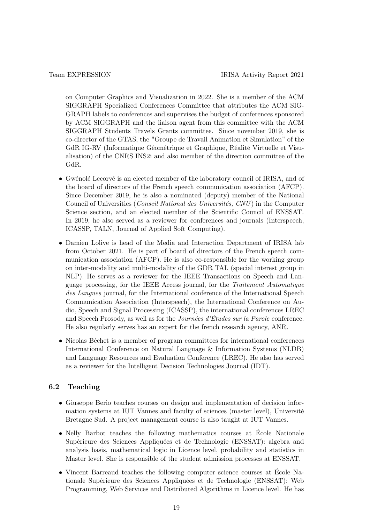on Computer Graphics and Visualization in 2022. She is a member of the ACM SIGGRAPH Specialized Conferences Committee that attributes the ACM SIG-GRAPH labels to conferences and supervises the budget of conferences sponsored by ACM SIGGRAPH and the liaison agent from this committee with the ACM SIGGRAPH Students Travels Grants committee. Since november 2019, she is co-director of the GTAS, the "Groupe de Travail Animation et Simulation" of the GdR IG-RV (Informatique Géométrique et Graphique, Réalité Virtuelle et Visualisation) of the CNRS INS2i and also member of the direction committee of the GdR.

- Gwénolé Lecorvé is an elected member of the laboratory council of IRISA, and of the board of directors of the French speech communication association (AFCP). Since December 2019, he is also a nominated (deputy) member of the National Council of Universities (Conseil National des Universités, CNU ) in the Computer Science section, and an elected member of the Scientific Council of ENSSAT. In 2019, he also served as a reviewer for conferences and journals (Interspeech, ICASSP, TALN, Journal of Applied Soft Computing).
- Damien Lolive is head of the Media and Interaction Department of IRISA lab from October 2021. He is part of board of directors of the French speech communication association (AFCP). He is also co-responsible for the working group on inter-modality and multi-modality of the GDR TAL (special interest group in NLP). He serves as a reviewer for the IEEE Transactions on Speech and Language processing, for the IEEE Access journal, for the Traitement Automatique des Langues journal, for the International conference of the International Speech Communication Association (Interspeech), the International Conference on Audio, Speech and Signal Processing (ICASSP), the international conferences LREC and Speech Prosody, as well as for the Journées d'Études sur la Parole conference. He also regularly serves has an expert for the french research agency, ANR.
- Nicolas Béchet is a member of program committees for international conferences International Conference on Natural Language & Information Systems (NLDB) and Language Resources and Evaluation Conference (LREC). He also has served as a reviewer for the Intelligent Decision Technologies Journal (IDT).

#### 6.2 Teaching

- Giuseppe Berio teaches courses on design and implementation of decision information systems at IUT Vannes and faculty of sciences (master level), Université Bretagne Sud. A project management course is also taught at IUT Vannes.
- Nelly Barbot teaches the following mathematics courses at École Nationale Supérieure des Sciences Appliquées et de Technologie (ENSSAT): algebra and analysis basis, mathematical logic in Licence level, probability and statistics in Master level. She is responsible of the student admission processes at ENSSAT.
- Vincent Barreaud teaches the following computer science courses at École Nationale Supérieure des Sciences Appliquées et de Technologie (ENSSAT): Web Programming, Web Services and Distributed Algorithms in Licence level. He has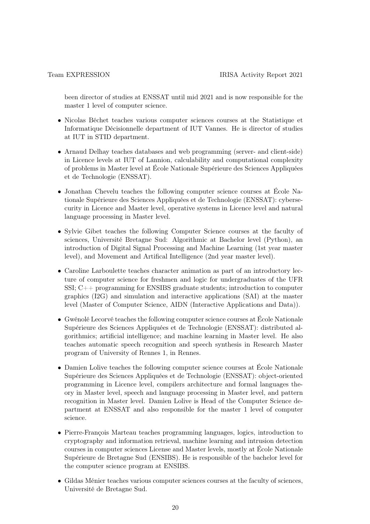been director of studies at ENSSAT until mid 2021 and is now responsible for the master 1 level of computer science.

- Nicolas Béchet teaches various computer sciences courses at the Statistique et Informatique Décisionnelle department of IUT Vannes. He is director of studies at IUT in STID department.
- Arnaud Delhay teaches databases and web programming (server- and client-side) in Licence levels at IUT of Lannion, calculability and computational complexity of problems in Master level at École Nationale Supérieure des Sciences Appliquées et de Technologie (ENSSAT).
- Jonathan Chevelu teaches the following computer science courses at École Nationale Supérieure des Sciences Appliquées et de Technologie (ENSSAT): cybersecurity in Licence and Master level, operative systems in Licence level and natural language processing in Master level.
- Sylvie Gibet teaches the following Computer Science courses at the faculty of sciences, Université Bretagne Sud: Algorithmic at Bachelor level (Python), an introduction of Digital Signal Processing and Machine Learning (1st year master level), and Movement and Artifical Intelligence (2nd year master level).
- Caroline Larboulette teaches character animation as part of an introductory lecture of computer science for freshmen and logic for undergraduates of the UFR SSI;  $C++$  programming for ENSIBS graduate students; introduction to computer graphics (I2G) and simulation and interactive applications (SAI) at the master level (Master of Computer Science, AIDN (Interactive Applications and Data)).
- Gwénolé Lecorvé teaches the following computer science courses at École Nationale Supérieure des Sciences Appliquées et de Technologie (ENSSAT): distributed algorithmics; artificial intelligence; and machine learning in Master level. He also teaches automatic speech recognition and speech synthesis in Research Master program of University of Rennes 1, in Rennes.
- Damien Lolive teaches the following computer science courses at École Nationale Supérieure des Sciences Appliquées et de Technologie (ENSSAT): object-oriented programming in Licence level, compilers architecture and formal languages theory in Master level, speech and language processing in Master level, and pattern recognition in Master level. Damien Lolive is Head of the Computer Science department at ENSSAT and also responsible for the master 1 level of computer science.
- Pierre-François Marteau teaches programming languages, logics, introduction to cryptography and information retrieval, machine learning and intrusion detection courses in computer sciences License and Master levels, mostly at École Nationale Supérieure de Bretagne Sud (ENSIBS). He is responsible of the bachelor level for the computer science program at ENSIBS.
- Gildas Ménier teaches various computer sciences courses at the faculty of sciences, Université de Bretagne Sud.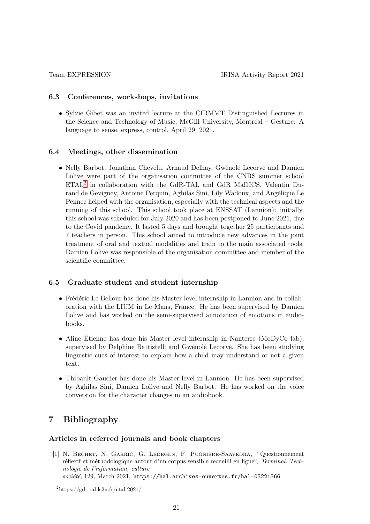### 6.3 Conferences, workshops, invitations

• Sylvie Gibet was an invited lecture at the CIRMMT Distinguished Lectures in the Science and Technology of Music, McGill University, Montréal – Gesture: A language to sense, express, control, April 29, 2021.

### 6.4 Meetings, other dissemination

• Nelly Barbot, Jonathan Chevelu, Arnaud Delhay, Gwénolé Lecorvé and Damien Lolive were part of the organisation committee of the CNRS summer school ETAL[2](#page-22-1) in collaboration with the GdR-TAL and GdR MaDICS. Valentin Durand de Gevigney, Antoine Perquin, Aghilas Sini, Lily Wadoux, and Angélique Le Pennec helped with the organisation, especially with the technical aspects and the running of this school. This school took place at ENSSAT (Lannion): initially, this school was scheduled for July 2020 and has been postponed to June 2021, due to the Covid pandemy. It lasted 5 days and brought together 25 participants and 7 teachers in person. This school aimed to introduce new advances in the joint treatment of oral and textual modalities and train to the main associated tools. Damien Lolive was responsible of the organisation committee and member of the scientific committee.

### 6.5 Graduate student and student internship

- Frédéric Le Bellour has done his Master level internship in Lannion and in collaboration with the LIUM in Le Mans, France. He has been supervised by Damien Lolive and has worked on the semi-supervised annotation of emotions in audiobooks.
- Aline Étienne has done his Master level internship in Nanterre (MoDyCo lab), supervised by Delphine Battistelli and Gwénolé Lecorvé. She has been studying linguistic cues of interest to explain how a child may understand or not a given text.
- Thibault Gaudier has done his Master level in Lannion. He has been supervised by Aghilas Sini, Damien Lolive and Nelly Barbot. He has worked on the voice conversion for the character changes in an audiobook.

# 7 Bibliography

### Articles in referred journals and book chapters

<span id="page-22-0"></span>[1] N. Béchet, N. Garric, G. Ledegen, F. Pugnière-Saavedra, "Questionnement réflexif et méthodologique autour d'un corpus sensible recueilli en ligne", Terminal. Technologie de l'information, culture

société, 129, March 2021, https://hal.archives-ouvertes.fr/hal-03221366.

<span id="page-22-1"></span> $^{2}$ https://gdr-tal.ls2n.fr/etal-2021/